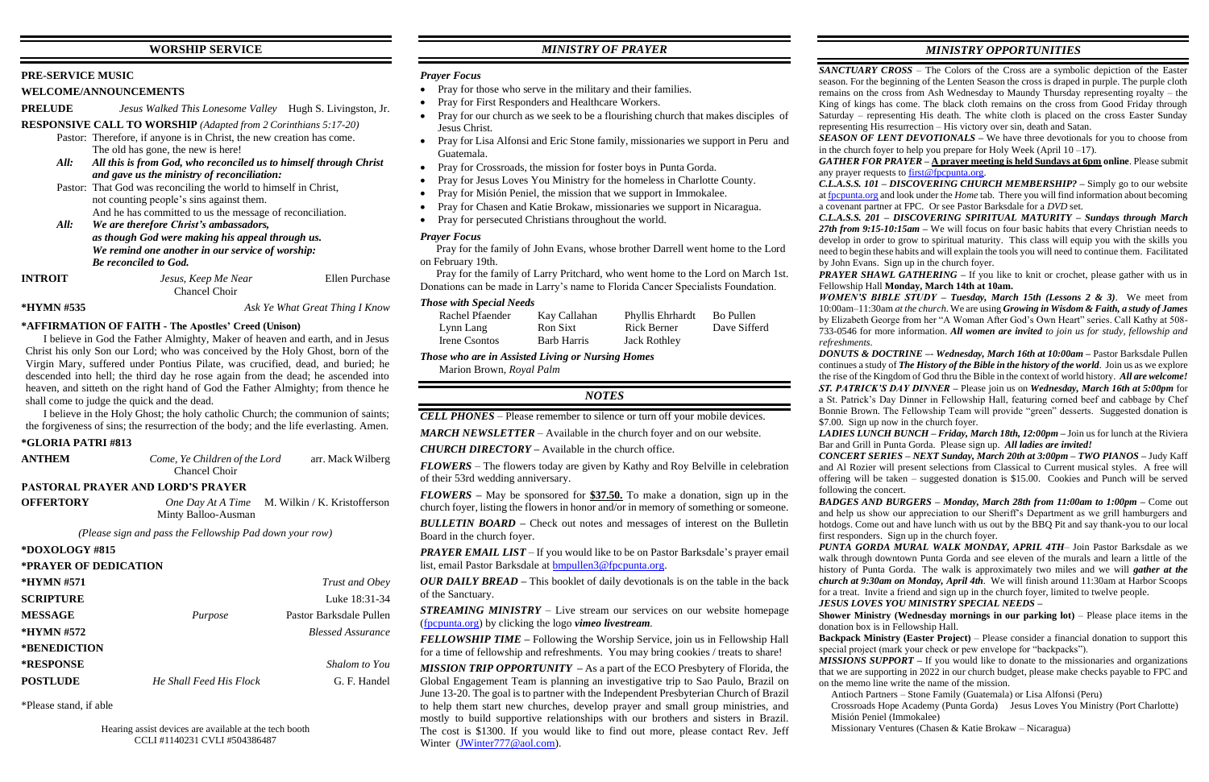# **WORSHIP SERVICE**

## **PRE-SERVICE MUSIC**

### **WELCOME/ANNOUNCEMENTS**

**PRELUDE** *Jesus Walked This Lonesome Valley* Hugh S. Livingston, Jr.

**RESPONSIVE CALL TO WORSHIP** *(Adapted from 2 Corinthians 5:17-20)*

| <b>INTROIT</b> | Jesus, Keep Me Near | Ellen Purchase |
|----------------|---------------------|----------------|
|                | Chancel Choir       |                |

- Pastor: Therefore, if anyone is in Christ, the new creation has come. The old has gone, the new is here!
- *All: All this is from God, who reconciled us to himself through Christ and gave us the ministry of reconciliation:*
- Pastor: That God was reconciling the world to himself in Christ, not counting people's sins against them. And he has committed to us the message of reconciliation.
- *All: We are therefore Christ's ambassadors, as though God were making his appeal through us. We remind one another in our service of worship: Be reconciled to God.*

**\*HYMN #535** *Ask Ye What Great Thing I Know*

### **\*AFFIRMATION OF FAITH - The Apostles' Creed (Unison)**

I believe in God the Father Almighty, Maker of heaven and earth, and in Jesus Christ his only Son our Lord; who was conceived by the Holy Ghost, born of the Virgin Mary, suffered under Pontius Pilate, was crucified, dead, and buried; he descended into hell; the third day he rose again from the dead; he ascended into heaven, and sitteth on the right hand of God the Father Almighty; from thence he shall come to judge the quick and the dead.

I believe in the Holy Ghost; the holy catholic Church; the communion of saints; the forgiveness of sins; the resurrection of the body; and the life everlasting. Amen.

# **\*GLORIA PATRI #813**

| <b>ANTHEM</b>         | Come, Ye Children of the Lord<br>Chancel Choir                        | arr. Mack Wilberg        |
|-----------------------|-----------------------------------------------------------------------|--------------------------|
|                       | <b>PASTORAL PRAYER AND LORD'S PRAYER</b>                              |                          |
| <b>OFFERTORY</b>      | One Day At A Time M. Wilkin / K. Kristofferson<br>Minty Balloo-Ausman |                          |
|                       | (Please sign and pass the Fellowship Pad down your row)               |                          |
| *DOXOLOGY #815        |                                                                       |                          |
| *PRAYER OF DEDICATION |                                                                       |                          |
| *HYMN #571            |                                                                       | Trust and Obey           |
| <b>SCRIPTURE</b>      |                                                                       | Luke 18:31-34            |
| <b>MESSAGE</b>        | Purpose                                                               | Pastor Barksdale Pullen  |
| $*HYMN \#572$         |                                                                       | <b>Blessed Assurance</b> |
| *BENEDICTION          |                                                                       |                          |
| <b>*RESPONSE</b>      |                                                                       | Shalom to You            |
| <b>POSTLUDE</b>       | He Shall Feed His Flock                                               | G. F. Handel             |

*PRAYER EMAIL LIST* – If you would like to be on Pastor Barksdale's prayer email list, email Pastor Barksdale at [bmpullen3@fpcpunta.org.](about:blank)

\*Please stand, if able

Hearing assist devices are available at the tech booth CCLI #1140231 CVLI #504386487

# *MINISTRY OF PRAYER*

### *Prayer Focus*

- Pray for those who serve in the military and their families.
- Pray for First Responders and Healthcare Workers.
- Pray for our church as we seek to be a flourishing church that makes disciples of Jesus Christ.
- Pray for Lisa Alfonsi and Eric Stone family, missionaries we support in Peru and Guatemala.
- Pray for Crossroads, the mission for foster boys in Punta Gorda.
- Pray for Jesus Loves You Ministry for the homeless in Charlotte County.
- Pray for Misión Peniel, the mission that we support in Immokalee.
- Pray for Chasen and Katie Brokaw, missionaries we support in Nicaragua.
- Pray for persecuted Christians throughout the world.

*MISSION TRIP OPPORTUNITY –* As a part of the ECO Presbytery of Florida, the Global Engagement Team is planning an investigative trip to Sao Paulo, Brazil on June 13-20. The goal is to partner with the Independent Presbyterian Church of Brazil to help them start new churches, develop prayer and small group ministries, and mostly to build supportive relationships with our brothers and sisters in Brazil. The cost is \$1300. If you would like to find out more, please contact Rev. Jeff Winter [\(JWinter777@aol.com\)](mailto:JWinter777@aol.com).

# *Prayer Focus*

 Pray for the family of John Evans, whose brother Darrell went home to the Lord on February 19th.

 Pray for the family of Larry Pritchard, who went home to the Lord on March 1st. Donations can be made in Larry's name to Florida Cancer Specialists Foundation.

### *Those with Special Needs*

| Rachel Pfaender | Kay Callahan | Phyllis Ehrhardt    | Bo Pullen    |
|-----------------|--------------|---------------------|--------------|
| Lynn Lang       | Ron Sixt     | Rick Berner         | Dave Sifferd |
| Irene Csontos   | Barb Harris  | <b>Jack Rothley</b> |              |

*Those who are in Assisted Living or Nursing Homes*

Marion Brown, *Royal Palm*

### *NOTES*

*CELL PHONES –* Please remember to silence or turn off your mobile devices.

*MARCH NEWSLETTER –* Available in the church foyer and on our website.

*CHURCH DIRECTORY –* Available in the church office.

*FLOWERS* – The flowers today are given by Kathy and Roy Belville in celebration of their 53rd wedding anniversary.

*FLOWERS –* May be sponsored for **\$37.50.** To make a donation, sign up in the church foyer, listing the flowers in honor and/or in memory of something or someone.

*BULLETIN BOARD –* Check out notes and messages of interest on the Bulletin Board in the church foyer.

*OUR DAILY BREAD –* This booklet of daily devotionals is on the table in the back of the Sanctuary.

*STREAMING MINISTRY –* Live stream our services on our website homepage [\(fpcpunta.org\)](about:blank) by clicking the logo *vimeo livestream.*

*FELLOWSHIP TIME –* Following the Worship Service, join us in Fellowship Hall for a time of fellowship and refreshments. You may bring cookies / treats to share!

# *MINISTRY OPPORTUNITIES*

*SANCTUARY CROSS* – The Colors of the Cross are a symbolic depiction of the Easter season. For the beginning of the Lenten Season the cross is draped in purple. The purple cloth remains on the cross from Ash Wednesday to Maundy Thursday representing royalty – the King of kings has come. The black cloth remains on the cross from Good Friday through Saturday – representing His death. The white cloth is placed on the cross Easter Sunday representing His resurrection – His victory over sin, death and Satan. *SEASON OF LENT DEVOTIONALS –* We have three devotionals for you to choose from in the church foyer to help you prepare for Holy Week (April  $10 - 17$ ). *GATHER FOR PRAYER –* **A prayer meeting is held Sundays at 6pm online**. Please submit any prayer requests t[o first@fpcpunta.org.](about:blank) *C.L.A.S.S. 101 – DISCOVERING CHURCH MEMBERSHIP? –* Simply go to our website a[t fpcpunta.org](about:blank) and look under the *Home* tab. There you will find information about becoming a covenant partner at FPC. Or see Pastor Barksdale for a *DVD* set. *C.L.A.S.S. 201 – DISCOVERING SPIRITUAL MATURITY – Sundays through March*  27th from 9:15-10:15am – We will focus on four basic habits that every Christian needs to develop in order to grow to spiritual maturity. This class will equip you with the skills you need to begin these habits and will explain the tools you will need to continue them. Facilitated by John Evans. Sign up in the church foyer. *PRAYER SHAWL GATHERING –* If you like to knit or crochet, please gather with us in Fellowship Hall **Monday, March 14th at 10am.** *WOMEN'S BIBLE STUDY – Tuesday, March 15th (Lessons 2 & 3)*. We meet from 10:00am–11:30am *at the church*. We are using *Growing in Wisdom & Faith, a study of James* by Elizabeth George from her "A Woman After God's Own Heart" series. Call Kathy at 508- 733-0546 for more information. *All women are invited to join us for study, fellowship and refreshments. DONUTS & DOCTRINE –*- *Wednesday, March 16th at 10:00am –* Pastor Barksdale Pullen continues a study of *The History of the Bible in the history of the world*. Join us as we explore the rise of the Kingdom of God thru the Bible in the context of world history. *All are welcome! ST. PATRICK'S DAY DINNER –* Please join us on *Wednesday, March 16th at 5:00pm* for a St. Patrick's Day Dinner in Fellowship Hall, featuring corned beef and cabbage by Chef Bonnie Brown. The Fellowship Team will provide "green" desserts. Suggested donation is \$7.00. Sign up now in the church foyer. *LADIES LUNCH BUNCH – Friday, March 18th, 12:00pm –* Join us for lunch at the Riviera Bar and Grill in Punta Gorda. Please sign up. *All ladies are invited! CONCERT SERIES – NEXT Sunday, March 20th at 3:00pm – TWO PIANOS –* Judy Kaff and Al Rozier will present selections from Classical to Current musical styles. A free will offering will be taken – suggested donation is \$15.00. Cookies and Punch will be served following the concert. *BADGES AND BURGERS – Monday, March 28th from 11:00am to 1:00pm –* Come out and help us show our appreciation to our Sheriff's Department as we grill hamburgers and hotdogs. Come out and have lunch with us out by the BBQ Pit and say thank-you to our local first responders. Sign up in the church foyer. *PUNTA GORDA MURAL WALK MONDAY, APRIL 4TH*– Join Pastor Barksdale as we walk through downtown Punta Gorda and see eleven of the murals and learn a little of the history of Punta Gorda. The walk is approximately two miles and we will *gather at the church at 9:30am on Monday, April 4th*. We will finish around 11:30am at Harbor Scoops for a treat. Invite a friend and sign up in the church foyer, limited to twelve people. *JESUS LOVES YOU MINISTRY SPECIAL NEEDS –* **Shower Ministry (Wednesday mornings in our parking lot)** – Please place items in the donation box is in Fellowship Hall. **Backpack Ministry (Easter Project)** – Please consider a financial donation to support this special project (mark your check or pew envelope for "backpacks"). *MISSIONS SUPPORT* – If you would like to donate to the missionaries and organizations that we are supporting in 2022 in our church budget, please make checks payable to FPC and on the memo line write the name of the mission. Antioch Partners – Stone Family (Guatemala) or Lisa Alfonsi (Peru)

Crossroads Hope Academy (Punta Gorda) Jesus Loves You Ministry (Port Charlotte)

Misión Peniel (Immokalee)

Missionary Ventures (Chasen & Katie Brokaw – Nicaragua)